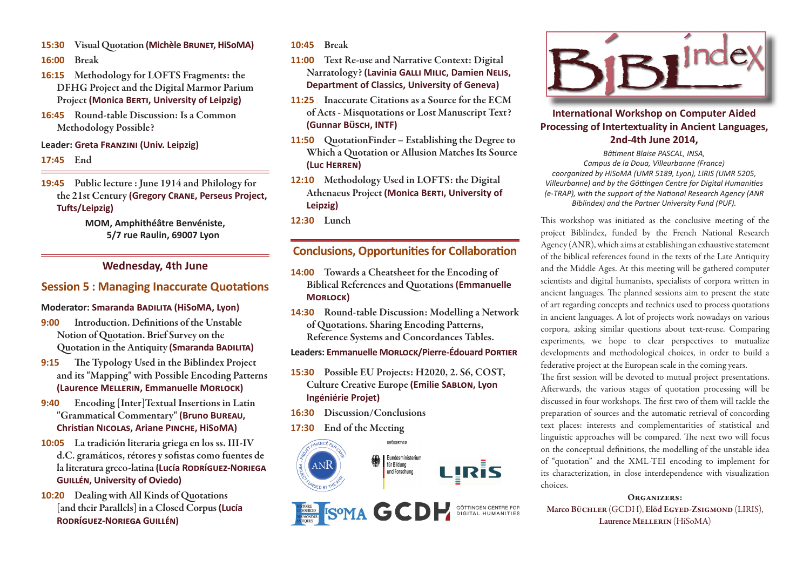- **15:30 Visual Quotation (Michèle BRUNET, HiSOMA)**
- **16:00 Break**
- **16:15 Methodology for LOFTS Fragments: the DFHG Project and the Digital Marmor Parium Project (Monica BERTI, University of Leipzig)**
- **16:45 Round-table Discussion: Is a Common Methodology Possible?**

#### **Leader: Greta FRANZINI (Univ. Leipzig)**

#### **17:45 End**

**19:45 Public lecture : June 1914 and Philology for the 21st Century (Gregory CRANE, Perseus Project, Tu Ō s/Leipzig)**

### **MOM, Amphithéâtre Benvéniste, 5/7 rue Raulin, 69007 Lyon**

# **We dnesday, 4th June**

## **Session 5: Managing Inaccurate Quotations**

#### **Moderator: Smaranda B®½®ã (HiSoMA, Lyon)**

- **9:00** Introduction. Definitions of the Unstable **Notion of Quotation. Brief Survey on the Quotation in the Antiquity (Smaranda BADILITA)**
- **9:15** The Typology Used in the Biblindex Project **and its "Mapping" with Possible Encoding Patterns**   $(k)$  **(Laurence MELLERIN, Emmanuelle MORLOCK)**
- **9:40 Encoding [Inter]Textual Insertions in Latin**  "Grammatical Commentary" (Bruno BUREAU, **Christian NICOLAS, Ariane PINCHE, HiSoMA)**
- **10:05 La tradición literaria griega en los ss. III-IV**  d.C. gramáticos, rétores y sofistas como fuentes de  $l$ a literatura greco-latina *(Lucía RODRÍGUEZ-NORIEGA* **G箽½Ä, University of Oviedo)**
- **10:20 Dealing with All Kinds of Quotations [and their Parallels] in a Closed Corpus (Lucía <sup>R</sup>ÊÙ°¦çþ-NÊÙ®¦ G箽½Ä)**

#### **10:45 Break**

- **11:00 Text Re-use and Narrative Context: Digital Narratology?** (Lavinia GALLI MILIC, Damien NELIS, **Department of Classics, University of Geneva)**
- **11:25 Inaccurate Citations as a Source for the ECM of Acts - Misquotations or Lost Manuscript Text? (Gunnar BìÝ«, INTF)**
- **11:50 QuotationFinder Establishing the Degree to Which a Quotation or Allusion Matches Its Source (Luc HÙÙÄ)**
- **12:10 Methodology Used in LOFTS: the Digital Athenaeus Project (Monica BERTI, University of Leipzig)**
- **12:30 Lunch**

## **Conclusions, Opportunities for Collaboration**

- **14:00 Towards a Cheatsheet for the Encoding of Biblical References and Quotations (Emmanuelle**   $M$ **ORLOCK**)
- **14:30 Round-table Discussion: Modelling a Network of Quotations. Sharing Encoding Patterns, Reference Systems and Concordances Tables.**

**Leaders: Emmanuelle MORLOCK/Pierre-Édouard PORTIER** 

- **15:30 Possible EU Projects: H2020, 2. S6, COST, Culture Creative Europe (Emilie SABLON, Lyon Ingéniérie Projet)**
- **16:30 Discussion/Conclusions**
- **17:30 End of the Meeting**







## **International Workshop on Computer Aided Processing of Intertextuality in Ancient Languages, 2nd-4th June 2014,**

*BâƟ ment Blaise PASCAL, INSA, Campus de la Doua, Villeurbanne (France) coorganized by HiSoMA (UMR 5189, Lyon), LIRIS (UMR 5205, Villeurbanne) and by the Gö ƫ ngen Centre for Digital HumaniƟ es (e-TRAP), with the support of the National Research Agency (ANR Biblindex) and the Partner University Fund (PUF).*

This workshop was initiated as the conclusive meeting of the project Biblindex, funded by the French National Research Agency (ANR), which aims at establishing an exhaustive statement of the biblical references found in the texts of the Late Antiquity and the Middle Ages. At this meeting will be gathered computer scientists and digital humanists, specialists of corpora written in ancient languages. The planned sessions aim to present the state of art regarding concepts and technics used to process quotations in ancient languages. A lot of projects work nowadays on various corpora, asking similar questions about text-reuse. Comparing experiments, we hope to clear perspectives to mutualize developments and methodological choices, in order to build a federative project at the European scale in the coming years.

The first session will be devoted to mutual project presentations. Afterwards, the various stages of quotation processing will be discussed in four workshops. The first two of them will tackle the preparation of sources and the automatic retrieval of concording text places: interests and complementarities of statistical and linguistic approaches will be compared. The next two will focus on the conceptual definitions, the modelling of the unstable idea of "quotation" and the XML-TEI encoding to implement for its characterization, in close interdependence with visualization choices.

**Organizers: Marco Büchler** (GCDH), **Elöd Egyed-Zsigmond** (LIRIS), **Laurence Mellerin** (HiSoMA)